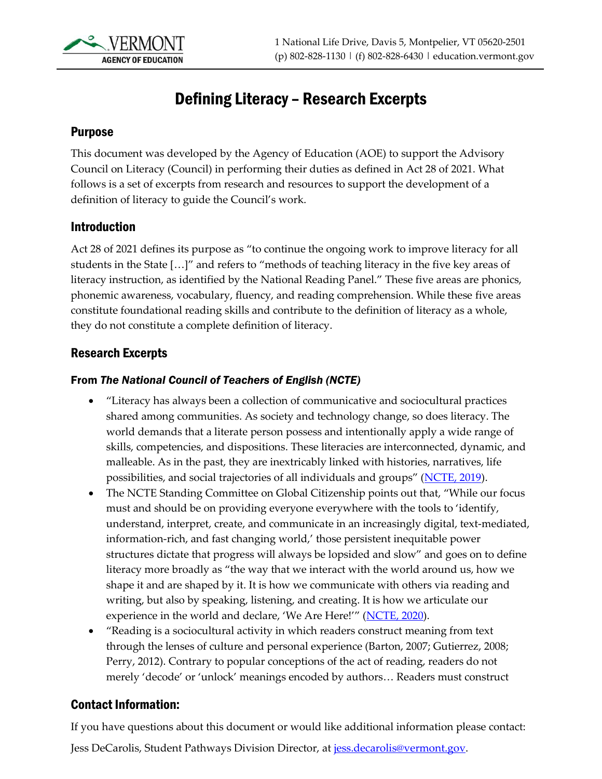

# Defining Literacy – Research Excerpts

#### Purpose

This document was developed by the Agency of Education (AOE) to support the Advisory Council on Literacy (Council) in performing their duties as defined in Act 28 of 2021. What follows is a set of excerpts from research and resources to support the development of a definition of literacy to guide the Council's work.

#### Introduction

Act 28 of 2021 defines its purpose as "to continue the ongoing work to improve literacy for all students in the State […]" and refers to "methods of teaching literacy in the five key areas of literacy instruction, as identified by the National Reading Panel." These five areas are phonics, phonemic awareness, vocabulary, fluency, and reading comprehension. While these five areas constitute foundational reading skills and contribute to the definition of literacy as a whole, they do not constitute a complete definition of literacy.

#### Research Excerpts

#### From *The National Council of Teachers of English (NCTE)*

- "Literacy has always been a collection of communicative and sociocultural practices shared among communities. As society and technology change, so does literacy. The world demands that a literate person possess and intentionally apply a wide range of skills, competencies, and dispositions. These literacies are interconnected, dynamic, and malleable. As in the past, they are inextricably linked with histories, narratives, life possibilities, and social trajectories of all individuals and groups" ([NCTE, 2019\)](https://ncte.org/statement/nctes-definition-literacy-digital-age/).
- The NCTE Standing Committee on Global Citizenship points out that, "While our focus" must and should be on providing everyone everywhere with the tools to 'identify, understand, interpret, create, and communicate in an increasingly digital, text-mediated, information-rich, and fast changing world,' those persistent inequitable power structures dictate that progress will always be lopsided and slow" and goes on to define literacy more broadly as "the way that we interact with the world around us, how we shape it and are shaped by it. It is how we communicate with others via reading and writing, but also by speaking, listening, and creating. It is how we articulate our experience in the world and declare, 'We Are Here!'" ([NCTE, 2020\)](https://ncte.org/blog/2020/03/literacy-just-reading-writing/).
- "Reading is a sociocultural activity in which readers construct meaning from text through the lenses of culture and personal experience (Barton, 2007; Gutierrez, 2008; Perry, 2012). Contrary to popular conceptions of the act of reading, readers do not merely 'decode' or 'unlock' meanings encoded by authors… Readers must construct

#### Contact Information:

If you have questions about this document or would like additional information please contact:

Jess DeCarolis, Student Pathways Division Director, at [jess.decarolis@vermont.gov.](mailto:jess.decarolis@vermont.gov)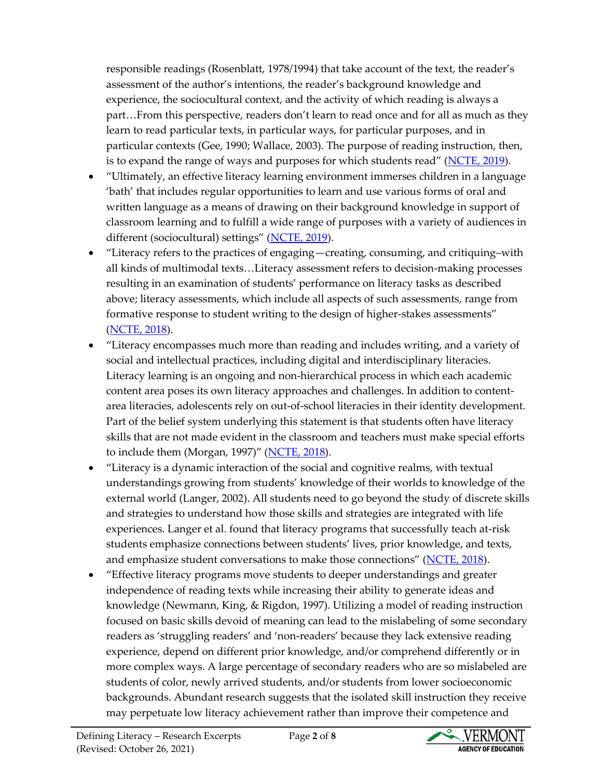responsible readings (Rosenblatt, 1978/1994) that take account of the text, the reader's assessment of the author's intentions, the reader's background knowledge and experience, the sociocultural context, and the activity of which reading is always a part…From this perspective, readers don't learn to read once and for all as much as they learn to read particular texts, in particular ways, for particular purposes, and in particular contexts (Gee, 1990; Wallace, 2003). The purpose of reading instruction, then, is to expand the range of ways and purposes for which students read" ([NCTE, 2019\)](https://ncte.org/statement/the-act-of-reading/).

- "Ultimately, an effective literacy learning environment immerses children in a language 'bath' that includes regular opportunities to learn and use various forms of oral and written language as a means of drawing on their background knowledge in support of classroom learning and to fulfill a wide range of purposes with a variety of audiences in different (sociocultural) settings" ([NCTE, 2019\)](https://ncte.org/statement/the-act-of-reading/).
- "Literacy refers to the practices of engaging—creating, consuming, and critiquing–with all kinds of multimodal texts…Literacy assessment refers to decision-making processes resulting in an examination of students' performance on literacy tasks as described above; literacy assessments, which include all aspects of such assessments, range from formative response to student writing to the design of higher-stakes assessments" [\(NCTE, 2018\)](https://ncte.org/statement/assessmentframingst/).
- "Literacy encompasses much more than reading and includes writing, and a variety of social and intellectual practices, including digital and interdisciplinary literacies. Literacy learning is an ongoing and non-hierarchical process in which each academic content area poses its own literacy approaches and challenges. In addition to contentarea literacies, adolescents rely on out-of-school literacies in their identity development. Part of the belief system underlying this statement is that students often have literacy skills that are not made evident in the classroom and teachers must make special efforts to include them (Morgan, 1997)" ([NCTE, 2018\)](https://ncte.org/statement/adolescentliteracy/).
- "Literacy is a dynamic interaction of the social and cognitive realms, with textual understandings growing from students' knowledge of their worlds to knowledge of the external world (Langer, 2002). All students need to go beyond the study of discrete skills and strategies to understand how those skills and strategies are integrated with life experiences. Langer et al. found that literacy programs that successfully teach at-risk students emphasize connections between students' lives, prior knowledge, and texts, and emphasize student conversations to make those connections" ([NCTE, 2018\)](https://ncte.org/statement/adolescentliteracy/).
- "Effective literacy programs move students to deeper understandings and greater independence of reading texts while increasing their ability to generate ideas and knowledge (Newmann, King, & Rigdon, 1997). Utilizing a model of reading instruction focused on basic skills devoid of meaning can lead to the mislabeling of some secondary readers as 'struggling readers' and 'non-readers' because they lack extensive reading experience, depend on different prior knowledge, and/or comprehend differently or in more complex ways. A large percentage of secondary readers who are so mislabeled are students of color, newly arrived students, and/or students from lower socioeconomic backgrounds. Abundant research suggests that the isolated skill instruction they receive may perpetuate low literacy achievement rather than improve their competence and

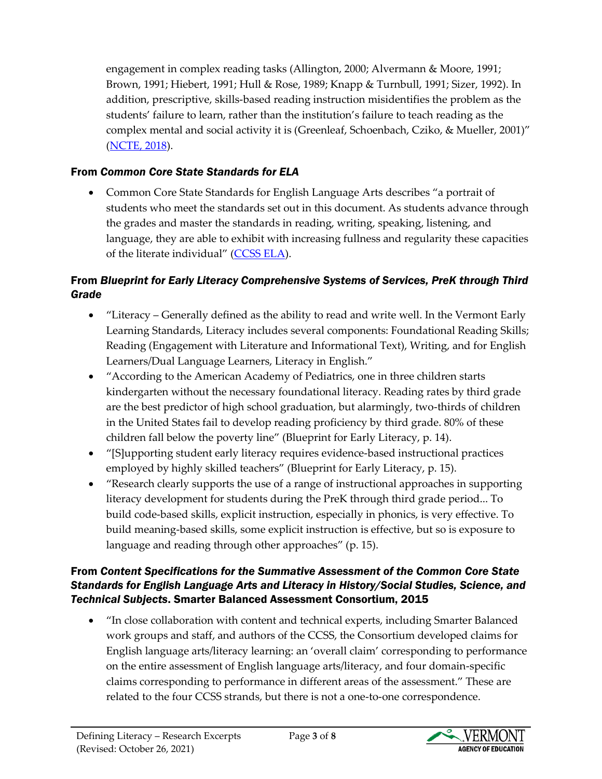engagement in complex reading tasks (Allington, 2000; Alvermann & Moore, 1991; Brown, 1991; Hiebert, 1991; Hull & Rose, 1989; Knapp & Turnbull, 1991; Sizer, 1992). In addition, prescriptive, skills-based reading instruction misidentifies the problem as the students' failure to learn, rather than the institution's failure to teach reading as the complex mental and social activity it is (Greenleaf, Schoenbach, Cziko, & Mueller, 2001)" [\(NCTE, 2018\)](https://ncte.org/statement/adolescentliteracy/).

# From *Common Core State Standards for ELA*

• Common Core State Standards for English Language Arts describes "a portrait of students who meet the standards set out in this document. As students advance through the grades and master the standards in reading, writing, speaking, listening, and language, they are able to exhibit with increasing fullness and regularity these capacities of the literate individual" ([CCSS ELA\)](http://www.corestandards.org/ELA-Literacy/introduction/students-who-are-college-and-career-ready-in-reading-writing-speaking-listening-language/).

# From *Blueprint for Early Literacy Comprehensive Systems of Services, PreK through Third Grade*

- "Literacy Generally defined as the ability to read and write well. In the Vermont Early Learning Standards, Literacy includes several components: Foundational Reading Skills; Reading (Engagement with Literature and Informational Text), Writing, and for English Learners/Dual Language Learners, Literacy in English."
- "According to the American Academy of Pediatrics, one in three children starts kindergarten without the necessary foundational literacy. Reading rates by third grade are the best predictor of high school graduation, but alarmingly, two-thirds of children in the United States fail to develop reading proficiency by third grade. 80% of these children fall below the poverty line" (Blueprint for Early Literacy, p. 14).
- "[S]upporting student early literacy requires evidence-based instructional practices employed by highly skilled teachers" (Blueprint for Early Literacy, p. 15).
- "Research clearly supports the use of a range of instructional approaches in supporting literacy development for students during the PreK through third grade period... To build code-based skills, explicit instruction, especially in phonics, is very effective. To build meaning-based skills, some explicit instruction is effective, but so is exposure to language and reading through other approaches" (p. 15).

## From *Content Specifications for the Summative Assessment of the Common Core State Standards for English Language Arts and Literacy in History/Social Studies, Science, and Technical Subjects*. Smarter Balanced Assessment Consortium, 2015

• "In close collaboration with content and technical experts, including Smarter Balanced work groups and staff, and authors of the CCSS, the Consortium developed claims for English language arts/literacy learning: an 'overall claim' corresponding to performance on the entire assessment of English language arts/literacy, and four domain-specific claims corresponding to performance in different areas of the assessment." These are related to the four CCSS strands, but there is not a one-to-one correspondence.

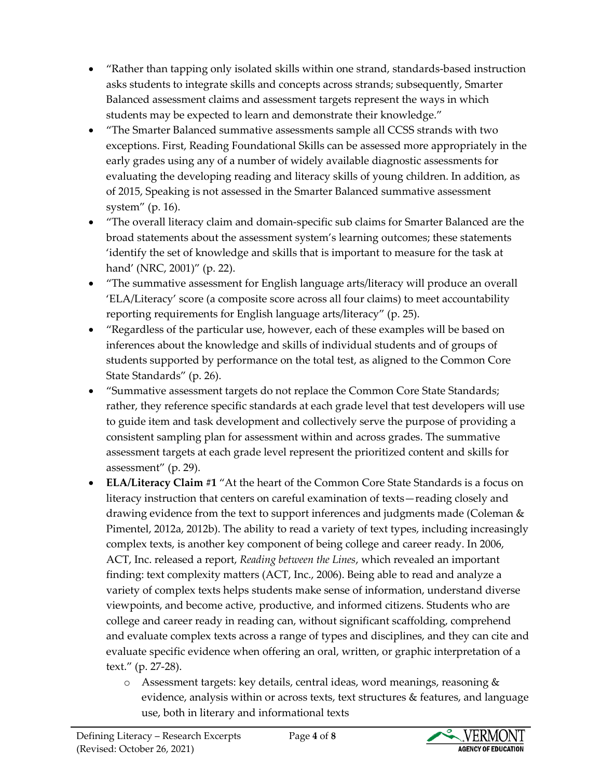- "Rather than tapping only isolated skills within one strand, standards-based instruction asks students to integrate skills and concepts across strands; subsequently, Smarter Balanced assessment claims and assessment targets represent the ways in which students may be expected to learn and demonstrate their knowledge."
- "The Smarter Balanced summative assessments sample all CCSS strands with two exceptions. First, Reading Foundational Skills can be assessed more appropriately in the early grades using any of a number of widely available diagnostic assessments for evaluating the developing reading and literacy skills of young children. In addition, as of 2015, Speaking is not assessed in the Smarter Balanced summative assessment system" (p. 16).
- "The overall literacy claim and domain-specific sub claims for Smarter Balanced are the broad statements about the assessment system's learning outcomes; these statements 'identify the set of knowledge and skills that is important to measure for the task at hand' (NRC, 2001)" (p. 22).
- "The summative assessment for English language arts/literacy will produce an overall 'ELA/Literacy' score (a composite score across all four claims) to meet accountability reporting requirements for English language arts/literacy" (p. 25).
- "Regardless of the particular use, however, each of these examples will be based on inferences about the knowledge and skills of individual students and of groups of students supported by performance on the total test, as aligned to the Common Core State Standards" (p. 26).
- "Summative assessment targets do not replace the Common Core State Standards; rather, they reference specific standards at each grade level that test developers will use to guide item and task development and collectively serve the purpose of providing a consistent sampling plan for assessment within and across grades. The summative assessment targets at each grade level represent the prioritized content and skills for assessment" (p. 29).
- **ELA/Literacy Claim #1** "At the heart of the Common Core State Standards is a focus on literacy instruction that centers on careful examination of texts—reading closely and drawing evidence from the text to support inferences and judgments made (Coleman & Pimentel, 2012a, 2012b). The ability to read a variety of text types, including increasingly complex texts, is another key component of being college and career ready. In 2006, ACT, Inc. released a report, *Reading between the Lines*, which revealed an important finding: text complexity matters (ACT, Inc., 2006). Being able to read and analyze a variety of complex texts helps students make sense of information, understand diverse viewpoints, and become active, productive, and informed citizens. Students who are college and career ready in reading can, without significant scaffolding, comprehend and evaluate complex texts across a range of types and disciplines, and they can cite and evaluate specific evidence when offering an oral, written, or graphic interpretation of a text." (p. 27-28).
	- $\circ$  Assessment targets: key details, central ideas, word meanings, reasoning & evidence, analysis within or across texts, text structures & features, and language use, both in literary and informational texts

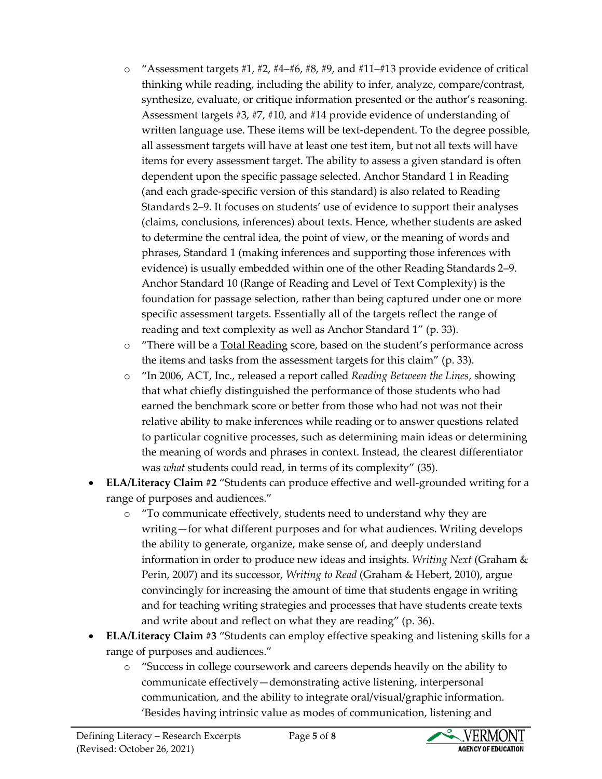- $\circ$  "Assessment targets #1, #2, #4–#6, #8, #9, and #11–#13 provide evidence of critical thinking while reading, including the ability to infer, analyze, compare/contrast, synthesize, evaluate, or critique information presented or the author's reasoning. Assessment targets #3, #7, #10, and #14 provide evidence of understanding of written language use. These items will be text-dependent. To the degree possible, all assessment targets will have at least one test item, but not all texts will have items for every assessment target. The ability to assess a given standard is often dependent upon the specific passage selected. Anchor Standard 1 in Reading (and each grade-specific version of this standard) is also related to Reading Standards 2–9. It focuses on students' use of evidence to support their analyses (claims, conclusions, inferences) about texts. Hence, whether students are asked to determine the central idea, the point of view, or the meaning of words and phrases, Standard 1 (making inferences and supporting those inferences with evidence) is usually embedded within one of the other Reading Standards 2–9. Anchor Standard 10 (Range of Reading and Level of Text Complexity) is the foundation for passage selection, rather than being captured under one or more specific assessment targets. Essentially all of the targets reflect the range of reading and text complexity as well as Anchor Standard 1" (p. 33).
- o "There will be a Total Reading score, based on the student's performance across the items and tasks from the assessment targets for this claim" (p. 33).
- o "In 2006, ACT, Inc., released a report called *Reading Between the Lines*, showing that what chiefly distinguished the performance of those students who had earned the benchmark score or better from those who had not was not their relative ability to make inferences while reading or to answer questions related to particular cognitive processes, such as determining main ideas or determining the meaning of words and phrases in context. Instead, the clearest differentiator was *what* students could read, in terms of its complexity" (35).
- **ELA/Literacy Claim #2** "Students can produce effective and well-grounded writing for a range of purposes and audiences."
	- o "To communicate effectively, students need to understand why they are writing—for what different purposes and for what audiences. Writing develops the ability to generate, organize, make sense of, and deeply understand information in order to produce new ideas and insights. *Writing Next* (Graham & Perin, 2007) and its successor, *Writing to Read* (Graham & Hebert, 2010), argue convincingly for increasing the amount of time that students engage in writing and for teaching writing strategies and processes that have students create texts and write about and reflect on what they are reading" (p. 36).
- **ELA/Literacy Claim #3** "Students can employ effective speaking and listening skills for a range of purposes and audiences."
	- o "Success in college coursework and careers depends heavily on the ability to communicate effectively—demonstrating active listening, interpersonal communication, and the ability to integrate oral/visual/graphic information. 'Besides having intrinsic value as modes of communication, listening and

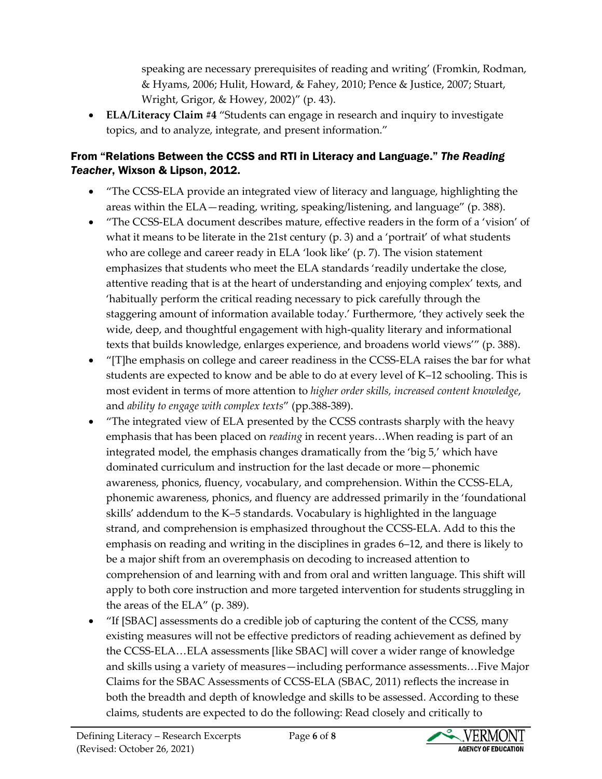speaking are necessary prerequisites of reading and writing' (Fromkin, Rodman, & Hyams, 2006; Hulit, Howard, & Fahey, 2010; Pence & Justice, 2007; Stuart, Wright, Grigor, & Howey, 2002)" (p. 43).

• **ELA/Literacy Claim #4** "Students can engage in research and inquiry to investigate topics, and to analyze, integrate, and present information."

## From "Relations Between the CCSS and RTI in Literacy and Language." *The Reading Teacher*, Wixson & Lipson, 2012.

- "The CCSS-ELA provide an integrated view of literacy and language, highlighting the areas within the ELA—reading, writing, speaking/listening, and language" (p. 388).
- "The CCSS-ELA document describes mature, effective readers in the form of a 'vision' of what it means to be literate in the 21st century (p. 3) and a 'portrait' of what students who are college and career ready in ELA 'look like' (p. 7). The vision statement emphasizes that students who meet the ELA standards 'readily undertake the close, attentive reading that is at the heart of understanding and enjoying complex' texts, and 'habitually perform the critical reading necessary to pick carefully through the staggering amount of information available today.' Furthermore, 'they actively seek the wide, deep, and thoughtful engagement with high-quality literary and informational texts that builds knowledge, enlarges experience, and broadens world views'" (p. 388).
- "[T]he emphasis on college and career readiness in the CCSS-ELA raises the bar for what students are expected to know and be able to do at every level of K–12 schooling. This is most evident in terms of more attention to *higher order skills, increased content knowledge*, and *ability to engage with complex texts*" (pp.388-389).
- "The integrated view of ELA presented by the CCSS contrasts sharply with the heavy emphasis that has been placed on *reading* in recent years…When reading is part of an integrated model, the emphasis changes dramatically from the 'big 5,' which have dominated curriculum and instruction for the last decade or more—phonemic awareness, phonics, fluency, vocabulary, and comprehension. Within the CCSS-ELA, phonemic awareness, phonics, and fluency are addressed primarily in the 'foundational skills' addendum to the K–5 standards. Vocabulary is highlighted in the language strand, and comprehension is emphasized throughout the CCSS-ELA. Add to this the emphasis on reading and writing in the disciplines in grades 6–12, and there is likely to be a major shift from an overemphasis on decoding to increased attention to comprehension of and learning with and from oral and written language. This shift will apply to both core instruction and more targeted intervention for students struggling in the areas of the ELA" (p. 389).
- "If [SBAC] assessments do a credible job of capturing the content of the CCSS, many existing measures will not be effective predictors of reading achievement as defined by the CCSS-ELA…ELA assessments [like SBAC] will cover a wider range of knowledge and skills using a variety of measures—including performance assessments…Five Major Claims for the SBAC Assessments of CCSS-ELA (SBAC, 2011) reflects the increase in both the breadth and depth of knowledge and skills to be assessed. According to these claims, students are expected to do the following: Read closely and critically to

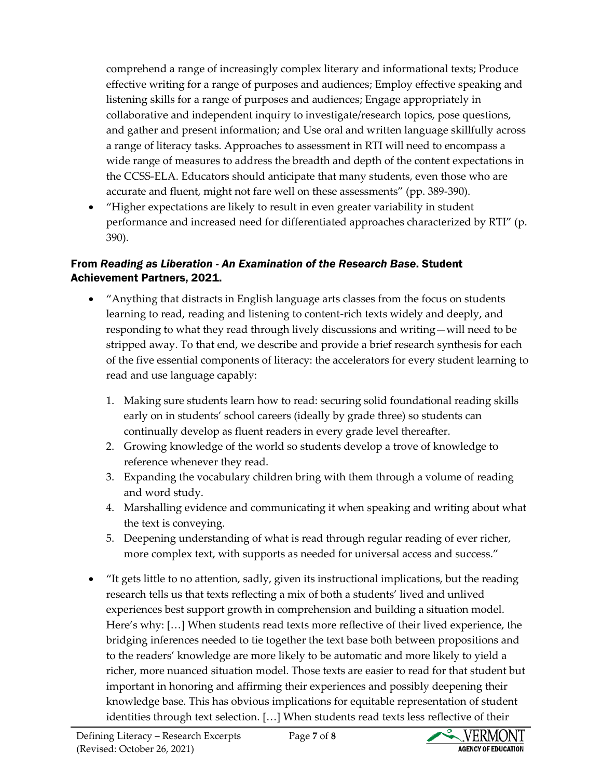comprehend a range of increasingly complex literary and informational texts; Produce effective writing for a range of purposes and audiences; Employ effective speaking and listening skills for a range of purposes and audiences; Engage appropriately in collaborative and independent inquiry to investigate/research topics, pose questions, and gather and present information; and Use oral and written language skillfully across a range of literacy tasks. Approaches to assessment in RTI will need to encompass a wide range of measures to address the breadth and depth of the content expectations in the CCSS-ELA. Educators should anticipate that many students, even those who are accurate and fluent, might not fare well on these assessments" (pp. 389-390).

• "Higher expectations are likely to result in even greater variability in student performance and increased need for differentiated approaches characterized by RTI" (p. 390).

## From *Reading as Liberation - An Examination of the Research Base*. Student Achievement Partners, 2021.

- "Anything that distracts in English language arts classes from the focus on students learning to read, reading and listening to content-rich texts widely and deeply, and responding to what they read through lively discussions and writing—will need to be stripped away. To that end, we describe and provide a brief research synthesis for each of the five essential components of literacy: the accelerators for every student learning to read and use language capably:
	- 1. Making sure students learn how to read: securing solid foundational reading skills early on in students' school careers (ideally by grade three) so students can continually develop as fluent readers in every grade level thereafter.
	- 2. Growing knowledge of the world so students develop a trove of knowledge to reference whenever they read.
	- 3. Expanding the vocabulary children bring with them through a volume of reading and word study.
	- 4. Marshalling evidence and communicating it when speaking and writing about what the text is conveying.
	- 5. Deepening understanding of what is read through regular reading of ever richer, more complex text, with supports as needed for universal access and success."
- "It gets little to no attention, sadly, given its instructional implications, but the reading research tells us that texts reflecting a mix of both a students' lived and unlived experiences best support growth in comprehension and building a situation model. Here's why: […] When students read texts more reflective of their lived experience, the bridging inferences needed to tie together the text base both between propositions and to the readers' knowledge are more likely to be automatic and more likely to yield a richer, more nuanced situation model. Those texts are easier to read for that student but important in honoring and affirming their experiences and possibly deepening their knowledge base. This has obvious implications for equitable representation of student identities through text selection. […] When students read texts less reflective of their